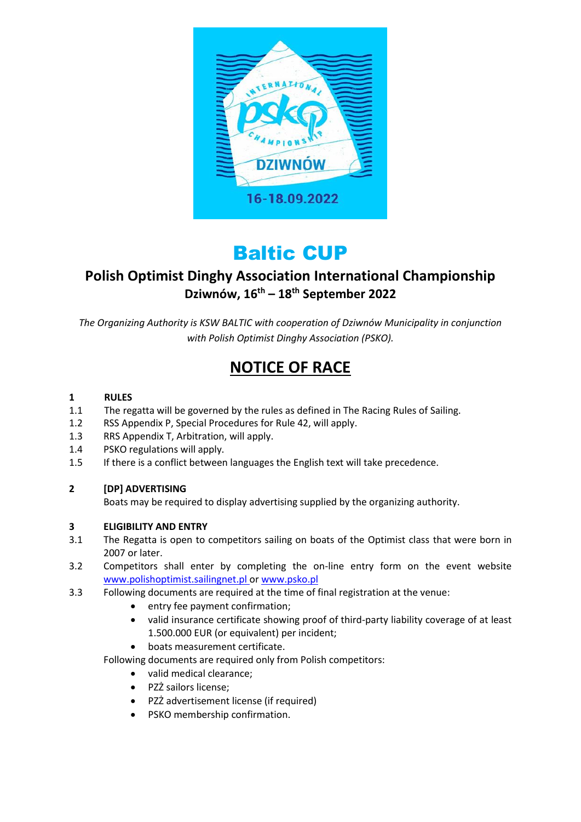

# Baltic CUP

## **Polish Optimist Dinghy Association International Championship Dziwnów, 16th – 18th September 2022**

*The Organizing Authority is KSW BALTIC with cooperation of Dziwnów Municipality in conjunction with Polish Optimist Dinghy Association (PSKO).*

## **NOTICE OF RACE**

#### **1 RULES**

- 1.1 The regatta will be governed by the rules as defined in The Racing Rules of Sailing.
- 1.2 RSS Appendix P, Special Procedures for Rule 42, will apply.
- 1.3 RRS Appendix T, Arbitration, will apply.
- 1.4 PSKO regulations will apply.
- 1.5 If there is a conflict between languages the English text will take precedence.

#### **2 [DP] ADVERTISING**

Boats may be required to display advertising supplied by the organizing authority.

#### **3 ELIGIBILITY AND ENTRY**

- 3.1 The Regatta is open to competitors sailing on boats of the Optimist class that were born in 2007 or later.
- 3.2 Competitors shall enter by completing the on-line entry form on the event website www.polishoptimist.sailingnet.pl or [www.psko.pl](http://www.psko.pl/)
- 3.3 Following documents are required at the time of final registration at the venue:
	- entry fee payment confirmation;
	- valid insurance certificate showing proof of third-party liability coverage of at least 1.500.000 EUR (or equivalent) per incident;
	- boats measurement certificate.

Following documents are required only from Polish competitors:

- valid medical clearance;
- PZŻ sailors license;
- PZŻ advertisement license (if required)
- PSKO membership confirmation.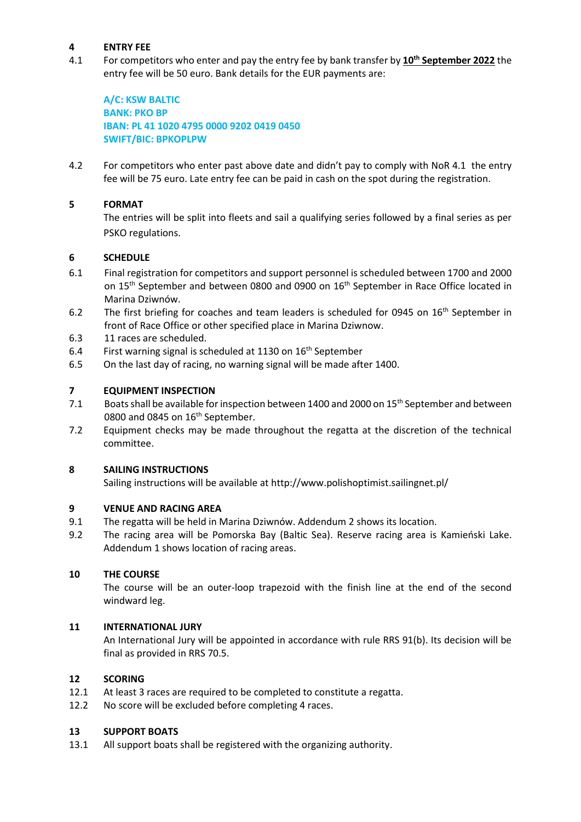#### **4 ENTRY FEE**

4.1 For competitors who enter and pay the entry fee by bank transfer by **10th September 2022** the entry fee will be 50 euro. Bank details for the EUR payments are:

**A/C: KSW BALTIC BANK: PKO BP IBAN: PL 41 1020 4795 0000 9202 0419 0450 SWIFT/BIC: BPKOPLPW**

4.2 For competitors who enter past above date and didn't pay to comply with NoR 4.1 the entry fee will be 75 euro. Late entry fee can be paid in cash on the spot during the registration.

#### **5 FORMAT**

The entries will be split into fleets and sail a qualifying series followed by a final series as per PSKO regulations.

#### **6 SCHEDULE**

- 6.1 Final registration for competitors and support personnel is scheduled between 1700 and 2000 on 15<sup>th</sup> September and between 0800 and 0900 on 16<sup>th</sup> September in Race Office located in Marina Dziwnów.
- 6.2 The first briefing for coaches and team leaders is scheduled for 0945 on 16<sup>th</sup> September in front of Race Office or other specified place in Marina Dziwnow.
- 6.3 11 races are scheduled.
- 6.4 First warning signal is scheduled at 1130 on 16<sup>th</sup> September
- 6.5 On the last day of racing, no warning signal will be made after 1400.

#### **7 EQUIPMENT INSPECTION**

- 7.1 Boats shall be available for inspection between 1400 and 2000 on 15<sup>th</sup> September and between 0800 and 0845 on  $16<sup>th</sup>$  September.
- 7.2 Equipment checks may be made throughout the regatta at the discretion of the technical committee.

#### **8 SAILING INSTRUCTIONS**

Sailing instructions will be available at http://www.polishoptimist.sailingnet.pl/

#### **9 VENUE AND RACING AREA**

- 9.1 The regatta will be held in Marina Dziwnów. Addendum 2 shows its location.
- 9.2 The racing area will be Pomorska Bay (Baltic Sea). Reserve racing area is Kamieński Lake. Addendum 1 shows location of racing areas.

#### **10 THE COURSE**

The course will be an outer-loop trapezoid with the finish line at the end of the second windward leg.

#### **11 INTERNATIONAL JURY**

An International Jury will be appointed in accordance with rule RRS 91(b). Its decision will be final as provided in RRS 70.5.

#### **12 SCORING**

- 12.1 At least 3 races are required to be completed to constitute a regatta.
- 12.2 No score will be excluded before completing 4 races.

#### **13 SUPPORT BOATS**

13.1 All support boats shall be registered with the organizing authority.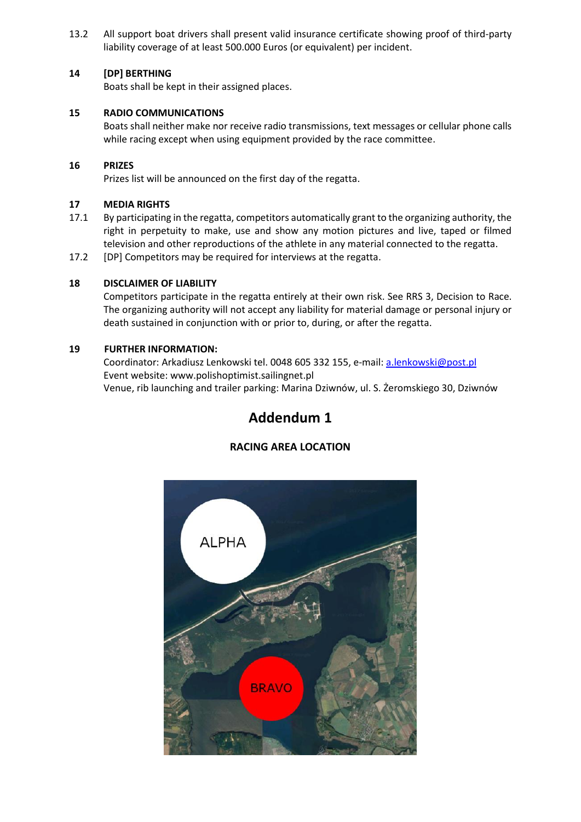13.2 All support boat drivers shall present valid insurance certificate showing proof of third-party liability coverage of at least 500.000 Euros (or equivalent) per incident.

#### **14 [DP] BERTHING**

Boats shall be kept in their assigned places.

#### **15 RADIO COMMUNICATIONS**

Boats shall neither make nor receive radio transmissions, text messages or cellular phone calls while racing except when using equipment provided by the race committee.

#### **16 PRIZES**

Prizes list will be announced on the first day of the regatta.

#### **17 MEDIA RIGHTS**

- 17.1 By participating in the regatta, competitors automatically grant to the organizing authority, the right in perpetuity to make, use and show any motion pictures and live, taped or filmed television and other reproductions of the athlete in any material connected to the regatta.
- 17.2 [DP] Competitors may be required for interviews at the regatta.

#### **18 DISCLAIMER OF LIABILITY**

Competitors participate in the regatta entirely at their own risk. See RRS 3, Decision to Race. The organizing authority will not accept any liability for material damage or personal injury or death sustained in conjunction with or prior to, during, or after the regatta.

#### **19 FURTHER INFORMATION:**

Coordinator: Arkadiusz Lenkowski tel. 0048 605 332 155, e-mail[: a.lenkowski@post.pl](mailto:a.lenkowski@post.pl) Event website: [www.polishoptimist.sailingnet.pl](http://www.polishoptimist.sailingnet.pl/) Venue, rib launching and trailer parking: Marina Dziwnów, ul. S. Żeromskiego 30, Dziwnów

### **Addendum 1**

#### **RACING AREA LOCATION**